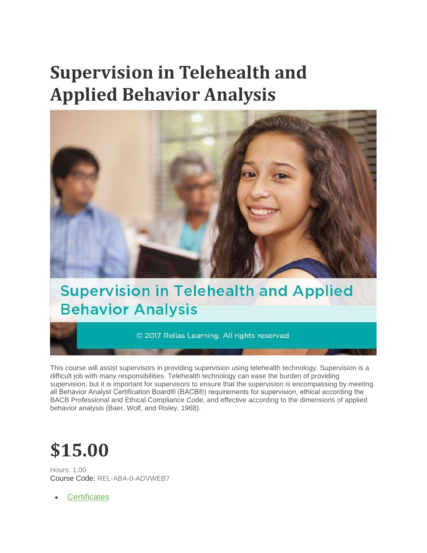# **Supervision in Telehealth and Applied Behavior Analysis**



## **Supervision in Telehealth and Applied Behavior Analysis**

© 2017 Relias Learning. All rights reserved.

This course will assist supervisors in providing supervision using telehealth technology. Supervision is a difficult job with many responsibilities. Telehealth technology can ease the burden of providing supervision, but it is important for supervisors to ensure that the supervision is encompassing by meeting all Behavior Analyst Certification Board® (BACB®) requirements for supervision, ethical according the BACB Professional and Ethical Compliance Code, and effective according to the dimensions of applied behavior analysis (Baer, Wolf, and Risley, 1968).

# **\$15.00**

Hours: 1.00 Course Code: REL-ABA-0-ADVWEB7

**[Certificates](https://reliasacademy.com/rls/store/browse/productDetailSingleSku.jsp?productId=c540553#certificates)**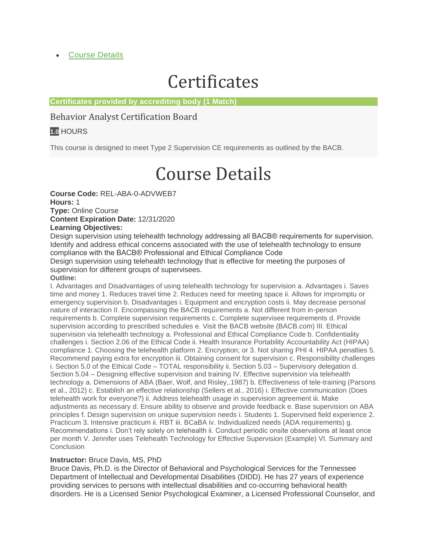### **[Course Details](https://reliasacademy.com/rls/store/browse/productDetailSingleSku.jsp?productId=c540553#details)**

## **Certificates**

#### **Certificates provided by accrediting body (1 Match)**

### Behavior Analyst Certification Board

### **1.0** HOURS

This course is designed to meet Type 2 Supervision CE requirements as outlined by the BACB.

# Course Details

**Course Code:** REL-ABA-0-ADVWEB7 **Hours:** 1 **Type:** Online Course **Content Expiration Date:** 12/31/2020

#### **Learning Objectives:**

Design supervision using telehealth technology addressing all BACB® requirements for supervision. Identify and address ethical concerns associated with the use of telehealth technology to ensure compliance with the BACB® Professional and Ethical Compliance Code

Design supervision using telehealth technology that is effective for meeting the purposes of supervision for different groups of supervisees.

#### **Outline:**

I. Advantages and Disadvantages of using telehealth technology for supervision a. Advantages i. Saves time and money 1. Reduces travel time 2. Reduces need for meeting space ii. Allows for impromptu or emergency supervision b. Disadvantages i. Equipment and encryption costs ii. May decrease personal nature of interaction II. Encompassing the BACB requirements a. Not different from in-person requirements b. Complete supervision requirements c. Complete supervisee requirements d. Provide supervision according to prescribed schedules e. Visit the BACB website (BACB.com) III. Ethical supervision via telehealth technology a. Professional and Ethical Compliance Code b. Confidentiality challenges i. Section 2.06 of the Ethical Code ii. Health Insurance Portability Accountability Act (HIPAA) compliance 1. Choosing the telehealth platform 2. Encryption; or 3. Not sharing PHI 4. HIPAA penalties 5. Recommend paying extra for encryption iii. Obtaining consent for supervision c. Responsibility challenges i. Section 5.0 of the Ethical Code – TOTAL responsibility ii. Section 5.03 – Supervisory delegation d. Section 5.04 – Designing effective supervision and training IV. Effective supervision via telehealth technology a. Dimensions of ABA (Baer, Wolf, and Risley,.1987) b. Effectiveness of tele-training (Parsons et al., 2012) c. Establish an effective relationship (Sellers et al., 2016) i. Effective communication (Does telehealth work for everyone?) ii. Address telehealth usage in supervision agreement iii. Make adjustments as necessary d. Ensure ability to observe and provide feedback e. Base supervision on ABA principles f. Design supervision on unique supervision needs i. Students 1. Supervised field experience 2. Practicum 3. Intensive practicum ii. RBT iii. BCaBA iv. Individualized needs (ADA requirements) g. Recommendations i. Don't rely solely on telehealth ii. Conduct periodic onsite observations at least once per month V. Jennifer uses Telehealth Technology for Effective Supervision (Example) VI. Summary and **Conclusion** 

#### **Instructor:** Bruce Davis, MS, PhD

Bruce Davis, Ph.D. is the Director of Behavioral and Psychological Services for the Tennessee Department of Intellectual and Developmental Disabilities (DIDD). He has 27 years of experience providing services to persons with intellectual disabilities and co-occurring behavioral health disorders. He is a Licensed Senior Psychological Examiner, a Licensed Professional Counselor, and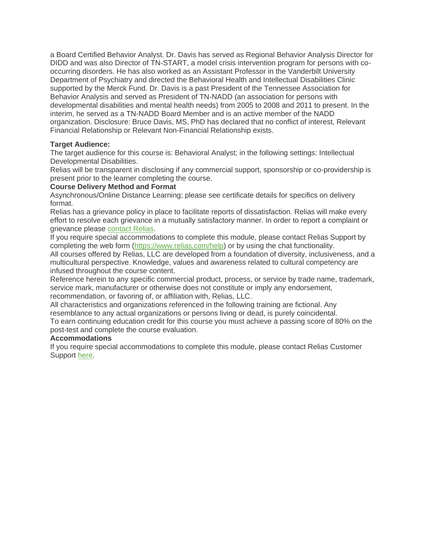a Board Certified Behavior Analyst. Dr. Davis has served as Regional Behavior Analysis Director for DIDD and was also Director of TN-START, a model crisis intervention program for persons with cooccurring disorders. He has also worked as an Assistant Professor in the Vanderbilt University Department of Psychiatry and directed the Behavioral Health and Intellectual Disabilities Clinic supported by the Merck Fund. Dr. Davis is a past President of the Tennessee Association for Behavior Analysis and served as President of TN-NADD (an association for persons with developmental disabilities and mental health needs) from 2005 to 2008 and 2011 to present. In the interim, he served as a TN-NADD Board Member and is an active member of the NADD organization. Disclosure: Bruce Davis, MS, PhD has declared that no conflict of interest, Relevant Financial Relationship or Relevant Non-Financial Relationship exists.

#### **Target Audience:**

The target audience for this course is: Behavioral Analyst; in the following settings: Intellectual Developmental Disabilities.

Relias will be transparent in disclosing if any commercial support, sponsorship or co-providership is present prior to the learner completing the course.

#### **Course Delivery Method and Format**

Asynchronous/Online Distance Learning; please see certificate details for specifics on delivery format.

Relias has a grievance policy in place to facilitate reports of dissatisfaction. Relias will make every effort to resolve each grievance in a mutually satisfactory manner. In order to report a complaint or grievance please [contact Relias.](https://reliasacademy.com/rls/store/global/supportForm.jsp)

If you require special accommodations to complete this module, please contact Relias Support by completing the web form [\(https://www.relias.com/help\)](https://www.relias.com/help) or by using the chat functionality.

All courses offered by Relias, LLC are developed from a foundation of diversity, inclusiveness, and a multicultural perspective. Knowledge, values and awareness related to cultural competency are infused throughout the course content.

Reference herein to any specific commercial product, process, or service by trade name, trademark, service mark, manufacturer or otherwise does not constitute or imply any endorsement,

recommendation, or favoring of, or affiliation with, Relias, LLC.

All characteristics and organizations referenced in the following training are fictional. Any resemblance to any actual organizations or persons living or dead, is purely coincidental.

To earn continuing education credit for this course you must achieve a passing score of 80% on the post-test and complete the course evaluation.

#### **Accommodations**

If you require special accommodations to complete this module, please contact Relias Customer Support [here.](https://reliasacademy.com/rls/store/customer-support)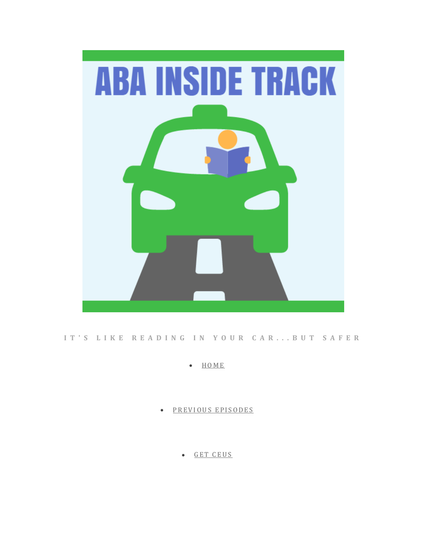

#### **I T ' S L I K E R E A D I N G I N Y O U R C A R . . . B U T S A F E R**

• [H O M E](https://www.abainsidetrack.com/)

PREVIOUS EPISODES

• GET CEUS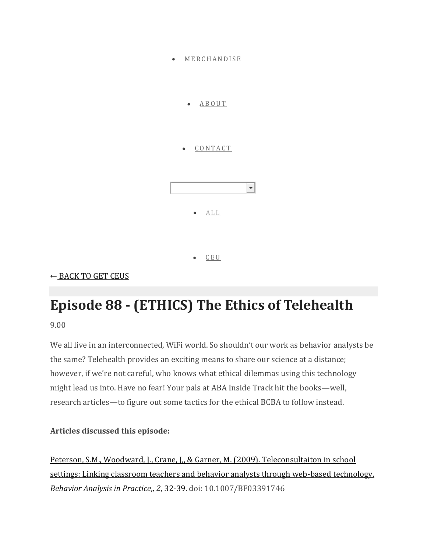

← [BACK TO GET CEUS](https://www.abainsidetrack.com/get-ceus)

# **Episode 88 - (ETHICS) The Ethics of Telehealth**

9.00

We all live in an interconnected, WiFi world. So shouldn't our work as behavior analysts be the same? Telehealth provides an exciting means to share our science at a distance; however, if we're not careful, who knows what ethical dilemmas using this technology might lead us into. Have no fear! Your pals at ABA Inside Track hit the books—well, research articles—to figure out some tactics for the ethical BCBA to follow instead.

### **Articles discussed this episode:**

[Peterson, S.M., Woodward, J., Crane, J,, & Garner, M. \(2009\). Teleconsultaiton in school](https://www.ncbi.nlm.nih.gov/pmc/articles/PMC2859801/pdf/i1998-1929-2-2-32.pdf)  [settings: Linking classroom teachers and behavior analysts through web-based technology.](https://www.ncbi.nlm.nih.gov/pmc/articles/PMC2859801/pdf/i1998-1929-2-2-32.pdf)  *[Behavior Analysis in Practice](https://www.ncbi.nlm.nih.gov/pmc/articles/PMC2859801/pdf/i1998-1929-2-2-32.pdf)*,*, 2*, 32-39. doi: 10.1007/BF03391746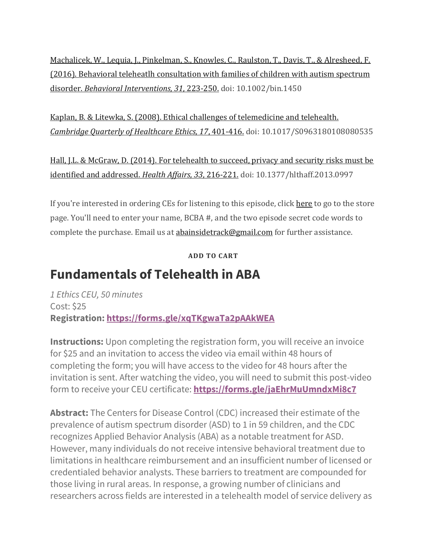[Machalicek, W., Lequia, J., Pinkelman, S., Knowles, C., Raulston, T., Davis, T., & Alresheed, F.](https://onlinelibrary.wiley.com/doi/abs/10.1002/bin.1450)  [\(2016\). Behavioral teleheatlh consultation with families of children with autism spectrum](https://onlinelibrary.wiley.com/doi/abs/10.1002/bin.1450)  disorder. *[Behavioral Interventions, 31](https://onlinelibrary.wiley.com/doi/abs/10.1002/bin.1450)*, 223-250. doi: 10.1002/bin.1450

[Kaplan, B. & Litewka, S. \(2008\). Ethical challenges of telemedicine and telehealth.](https://www.cambridge.org/core/journals/cambridge-quarterly-of-healthcare-ethics/article/ethical-challenges-of-telemedicine-and-telehealth/5D777B4EDE6E97934FB4B442F9CE0B33)  *[Cambridge Quarterly of Healthcare Ethics, 17](https://www.cambridge.org/core/journals/cambridge-quarterly-of-healthcare-ethics/article/ethical-challenges-of-telemedicine-and-telehealth/5D777B4EDE6E97934FB4B442F9CE0B33)*, 401-416. doi: 10.1017/S0963180108080535

[Hall, J.L. & McGraw, D. \(2014\). For telehealth to succeed, privacy and security risks must be](https://www.healthaffairs.org/doi/pdf/10.1377/hlthaff.2013.0997)  [identified and addressed.](https://www.healthaffairs.org/doi/pdf/10.1377/hlthaff.2013.0997) *Health Affairs, 33*, 216-221. doi: 10.1377/hlthaff.2013.0997

If you're interested in ordering CEs for listening to this episode, clic[k here](https://www.abainsidetrack.com/get-ceus/episode-88-ethics-of-telehealth) to go to the store page. You'll need to enter your name, BCBA #, and the two episode secret code words to complete the purchase. Email us at [abainsidetrack@gmail.com](mailto:abainsidetrack@gmail.com) for further assistance.

**ADD TO CART**

### **Fundamentals of Telehealth in ABA**

*1 Ethics CEU, 50 minutes* Cost: \$25 **Registration: <https://forms.gle/xqTKgwaTa2pAAkWEA>**

**Instructions:** Upon completing the registration form, you will receive an invoice for \$25 and an invitation to access the video via email within 48 hours of completing the form; you will have access to the video for 48 hours after the invitation is sent. After watching the video, you will need to submit this post-video form to receive your CEU certificate: **<https://forms.gle/jaEhrMuUmndxMi8c7>**

**Abstract:** The Centers for Disease Control (CDC) increased their estimate of the prevalence of autism spectrum disorder (ASD) to 1 in 59 children, and the CDC recognizes Applied Behavior Analysis (ABA) as a notable treatment for ASD. However, many individuals do not receive intensive behavioral treatment due to limitations in healthcare reimbursement and an insufficient number of licensed or credentialed behavior analysts. These barriers to treatment are compounded for those living in rural areas. In response, a growing number of clinicians and researchers across fields are interested in a telehealth model of service delivery as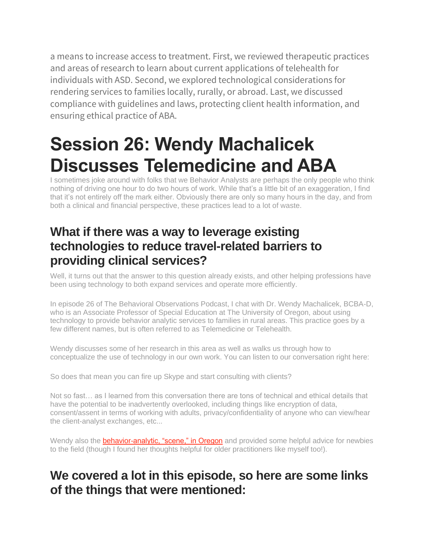a means to increase access to treatment. First, we reviewed therapeutic practices and areas of research to learn about current applications of telehealth for individuals with ASD. Second, we explored technological considerations for rendering services to families locally, rurally, or abroad. Last, we discussed compliance with guidelines and laws, protecting client health information, and ensuring ethical practice of ABA.

# **Session 26: Wendy Machalicek Discusses Telemedicine and ABA**

I sometimes joke around with folks that we Behavior Analysts are perhaps the only people who think nothing of driving one hour to do two hours of work. While that's a little bit of an exaggeration, I find that it's not entirely off the mark either. Obviously there are only so many hours in the day, and from both a clinical and financial perspective, these practices lead to a lot of waste.

### **What if there was a way to leverage existing technologies to reduce travel-related barriers to providing clinical services?**

Well, it turns out that the answer to this question already exists, and other helping professions have been using technology to both expand services and operate more efficiently.

In episode 26 of The Behavioral Observations Podcast, I chat with Dr. Wendy Machalicek, BCBA-D, who is an Associate Professor of Special Education at The University of Oregon, about using technology to provide behavior analytic services to families in rural areas. This practice goes by a few different names, but is often referred to as Telemedicine or Telehealth.

Wendy discusses some of her research in this area as well as walks us through how to conceptualize the use of technology in our own work. You can listen to our conversation right here:

So does that mean you can fire up Skype and start consulting with clients?

Not so fast… as I learned from this conversation there are tons of technical and ethical details that have the potential to be inadvertently overlooked, including things like encryption of data, consent/assent in terms of working with adults, privacy/confidentiality of anyone who can view/hear the client-analyst exchanges, etc...

Wendy also the **[behavior-analytic, "scene," in Oregon](http://www.oraba.org/)** and provided some helpful advice for newbies to the field (though I found her thoughts helpful for older practitioners like myself too!).

### **We covered a lot in this episode, so here are some links of the things that were mentioned:**